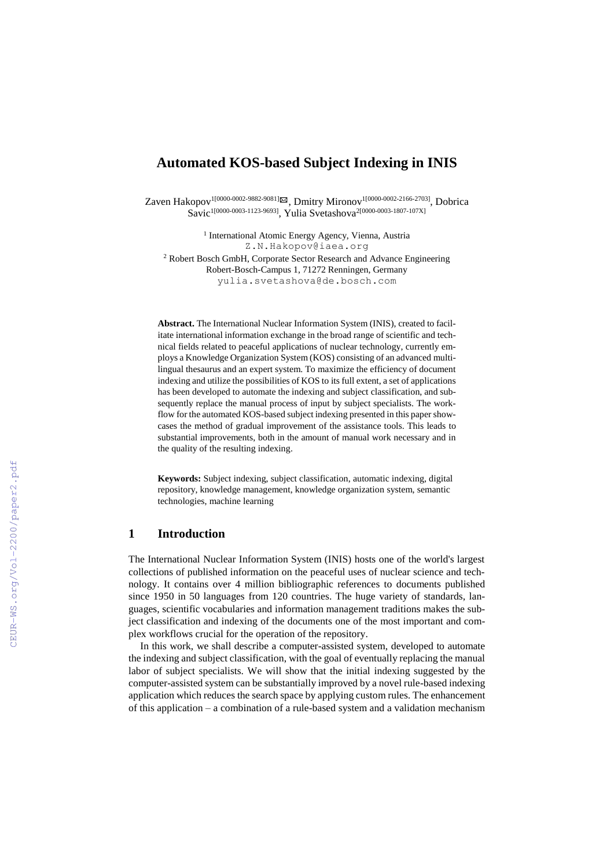# **Automated KOS-based Subject Indexing in INIS**

Zaven Hakopov<sup>1[0000-0002-9882-9081]⊠</sup>, Dmitry Mironov<sup>1[0000-0002-2166-2703]</sup>, Dobrica Savic<sup>1[0000-0003-1123-9693]</sup>, Yulia Svetashova<sup>2[0000-0003-1807-107X]</sup>

> <sup>1</sup> International Atomic Energy Agency, Vienna, Austria Z.N.Hakopov@iaea.org

<sup>2</sup> Robert Bosch GmbH, Corporate Sector Research and Advance Engineering Robert-Bosch-Campus 1, 71272 Renningen, Germany yulia.svetashova@de.bosch.com

**Abstract.** The International Nuclear Information System (INIS), created to facilitate international information exchange in the broad range of scientific and technical fields related to peaceful applications of nuclear technology, currently employs a Knowledge Organization System (KOS) consisting of an advanced multilingual thesaurus and an expert system. To maximize the efficiency of document indexing and utilize the possibilities of KOS to its full extent, a set of applications has been developed to automate the indexing and subject classification, and subsequently replace the manual process of input by subject specialists. The workflow for the automated KOS-based subject indexing presented in this paper showcases the method of gradual improvement of the assistance tools. This leads to substantial improvements, both in the amount of manual work necessary and in the quality of the resulting indexing.

**Keywords:** Subject indexing, subject classification, automatic indexing, digital repository, knowledge management, knowledge organization system, semantic technologies, machine learning

### **1 Introduction**

The International Nuclear Information System (INIS) hosts one of the world's largest collections of published information on the peaceful uses of nuclear science and technology. It contains over 4 million bibliographic references to documents published since 1950 in 50 languages from 120 countries. The huge variety of standards, languages, scientific vocabularies and information management traditions makes the subject classification and indexing of the documents one of the most important and complex workflows crucial for the operation of the repository.

In this work, we shall describe a computer-assisted system, developed to automate the indexing and subject classification, with the goal of eventually replacing the manual labor of subject specialists. We will show that the initial indexing suggested by the computer-assisted system can be substantially improved by a novel rule-based indexing application which reduces the search space by applying custom rules. The enhancement of this application – a combination of a rule-based system and a validation mechanism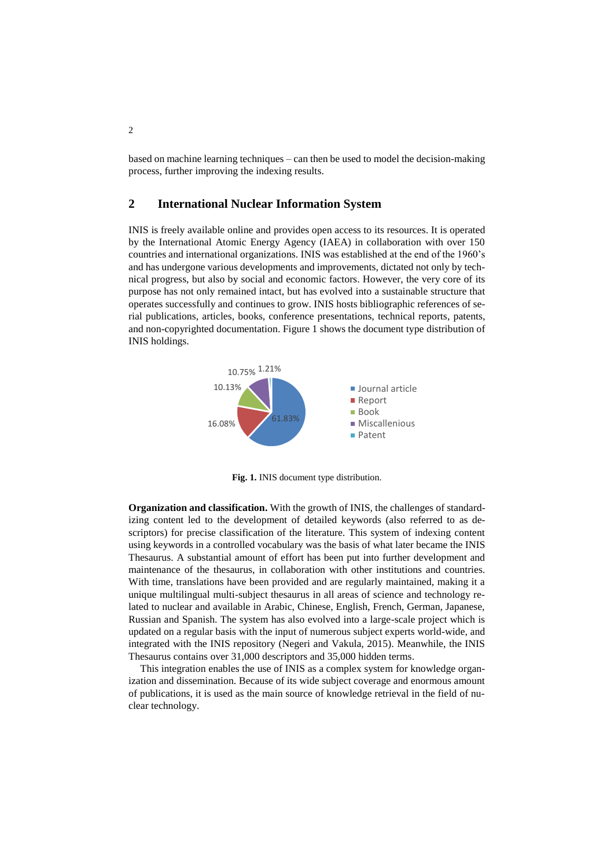based on machine learning techniques – can then be used to model the decision-making process, further improving the indexing results.

### **2 International Nuclear Information System**

INIS is freely available online and provides open access to its resources. It is operated by the International Atomic Energy Agency (IAEA) in collaboration with over 150 countries and international organizations. INIS was established at the end of the 1960's and has undergone various developments and improvements, dictated not only by technical progress, but also by social and economic factors. However, the very core of its purpose has not only remained intact, but has evolved into a sustainable structure that operates successfully and continues to grow. INIS hosts bibliographic references of serial publications, articles, books, conference presentations, technical reports, patents, and non-copyrighted documentation. Figure 1 shows the document type distribution of INIS holdings.



**Fig. 1.** INIS document type distribution.

**Organization and classification.** With the growth of INIS, the challenges of standardizing content led to the development of detailed keywords (also referred to as descriptors) for precise classification of the literature. This system of indexing content using keywords in a controlled vocabulary was the basis of what later became the INIS Thesaurus. A substantial amount of effort has been put into further development and maintenance of the thesaurus, in collaboration with other institutions and countries. With time, translations have been provided and are regularly maintained, making it a unique multilingual multi-subject thesaurus in all areas of science and technology related to nuclear and available in Arabic, Chinese, English, French, German, Japanese, Russian and Spanish. The system has also evolved into a large-scale project which is updated on a regular basis with the input of numerous subject experts world-wide, and integrated with the INIS repository (Negeri and Vakula, 2015). Meanwhile, the INIS Thesaurus contains over 31,000 descriptors and 35,000 hidden terms.

This integration enables the use of INIS as a complex system for knowledge organization and dissemination. Because of its wide subject coverage and enormous amount of publications, it is used as the main source of knowledge retrieval in the field of nuclear technology.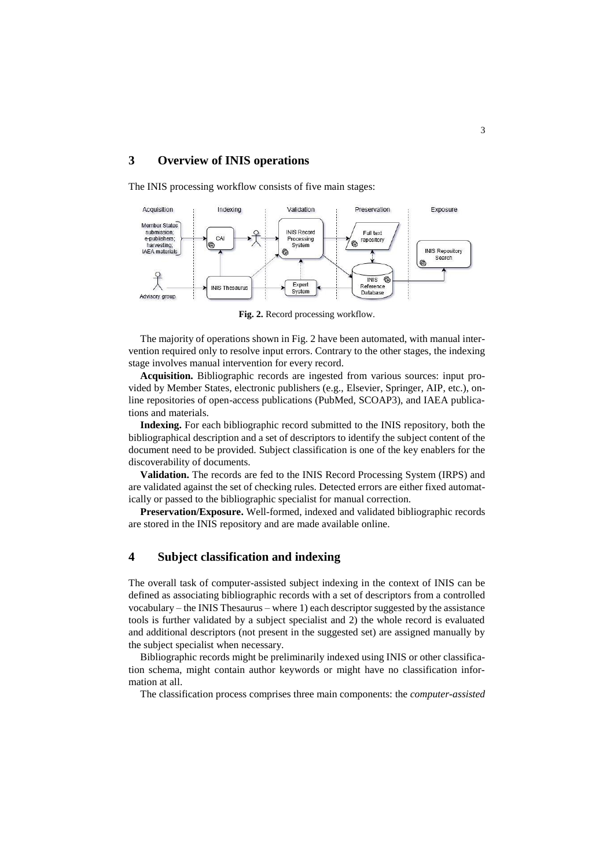# **3 Overview of INIS operations**

The INIS processing workflow consists of five main stages:



**Fig. 2.** Record processing workflow.

The majority of operations shown in Fig. 2 have been automated, with manual intervention required only to resolve input errors. Contrary to the other stages, the indexing stage involves manual intervention for every record.

**Acquisition.** Bibliographic records are ingested from various sources: input provided by Member States, electronic publishers (e.g., Elsevier, Springer, AIP, etc.), online repositories of open-access publications (PubMed, SCOAP3), and IAEA publications and materials.

**Indexing.** For each bibliographic record submitted to the INIS repository, both the bibliographical description and a set of descriptors to identify the subject content of the document need to be provided. Subject classification is one of the key enablers for the discoverability of documents.

**Validation.** The records are fed to the INIS Record Processing System (IRPS) and are validated against the set of checking rules. Detected errors are either fixed automatically or passed to the bibliographic specialist for manual correction.

**Preservation/Exposure.** Well-formed, indexed and validated bibliographic records are stored in the INIS repository and are made available online.

# **4 Subject classification and indexing**

The overall task of computer-assisted subject indexing in the context of INIS can be defined as associating bibliographic records with a set of descriptors from a controlled vocabulary – the INIS Thesaurus – where 1) each descriptor suggested by the assistance tools is further validated by a subject specialist and 2) the whole record is evaluated and additional descriptors (not present in the suggested set) are assigned manually by the subject specialist when necessary.

Bibliographic records might be preliminarily indexed using INIS or other classification schema, might contain author keywords or might have no classification information at all.

The classification process comprises three main components: the *computer-assisted*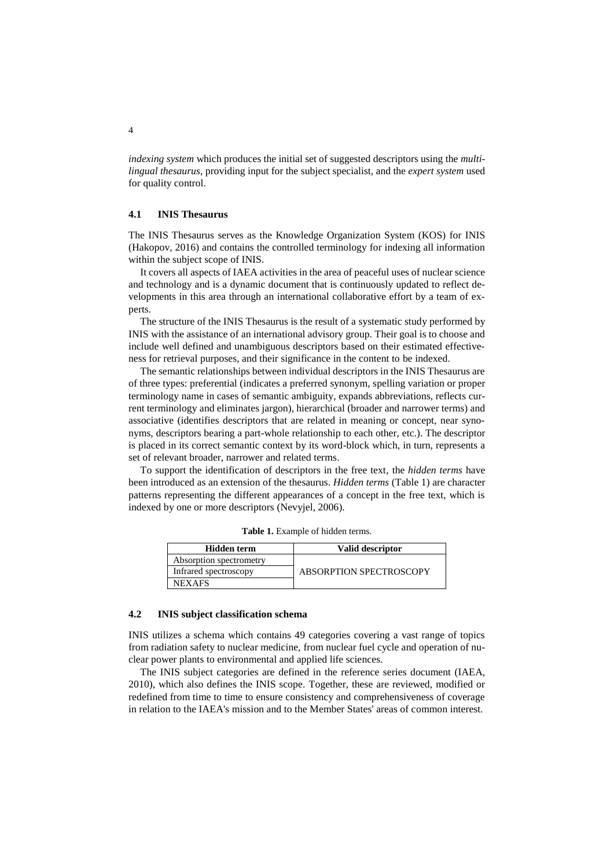*indexing system* which produces the initial set of suggested descriptors using the *multilingual thesaurus*, providing input for the subject specialist, and the *expert system* used for quality control.

### **4.1 INIS Thesaurus**

The INIS Thesaurus serves as the Knowledge Organization System (KOS) for INIS (Hakopov, 2016) and contains the controlled terminology for indexing all information within the subject scope of INIS.

It covers all aspects of IAEA activities in the area of peaceful uses of nuclear science and technology and is a dynamic document that is continuously updated to reflect developments in this area through an international collaborative effort by a team of experts.

The structure of the INIS Thesaurus is the result of a systematic study performed by INIS with the assistance of an international advisory group. Their goal is to choose and include well defined and unambiguous descriptors based on their estimated effectiveness for retrieval purposes, and their significance in the content to be indexed.

The semantic relationships between individual descriptors in the INIS Thesaurus are of three types: preferential (indicates a preferred synonym, spelling variation or proper terminology name in cases of semantic ambiguity, expands abbreviations, reflects current terminology and eliminates jargon), hierarchical (broader and narrower terms) and associative (identifies descriptors that are related in meaning or concept, near synonyms, descriptors bearing a part-whole relationship to each other, etc.). The descriptor is placed in its correct semantic context by its word-block which, in turn, represents a set of relevant broader, narrower and related terms.

To support the identification of descriptors in the free text, the *hidden terms* have been introduced as an extension of the thesaurus. *Hidden terms* (Table 1) are character patterns representing the different appearances of a concept in the free text, which is indexed by one or more descriptors (Nevyjel, 2006).

| Hidden term             | Valid descriptor               |  |  |  |  |
|-------------------------|--------------------------------|--|--|--|--|
| Absorption spectrometry |                                |  |  |  |  |
| Infrared spectroscopy   | <b>ABSORPTION SPECTROSCOPY</b> |  |  |  |  |
| <b>NEXAFS</b>           |                                |  |  |  |  |

**Table 1.** Example of hidden terms.

#### **4.2 INIS subject classification schema**

INIS utilizes a schema which contains 49 categories covering a vast range of topics from radiation safety to nuclear medicine, from nuclear fuel cycle and operation of nuclear power plants to environmental and applied life sciences.

The INIS subject categories are defined in the reference series document (IAEA, 2010), which also defines the INIS scope. Together, these are reviewed, modified or redefined from time to time to ensure consistency and comprehensiveness of coverage in relation to the IAEA's mission and to the Member States' areas of common interest.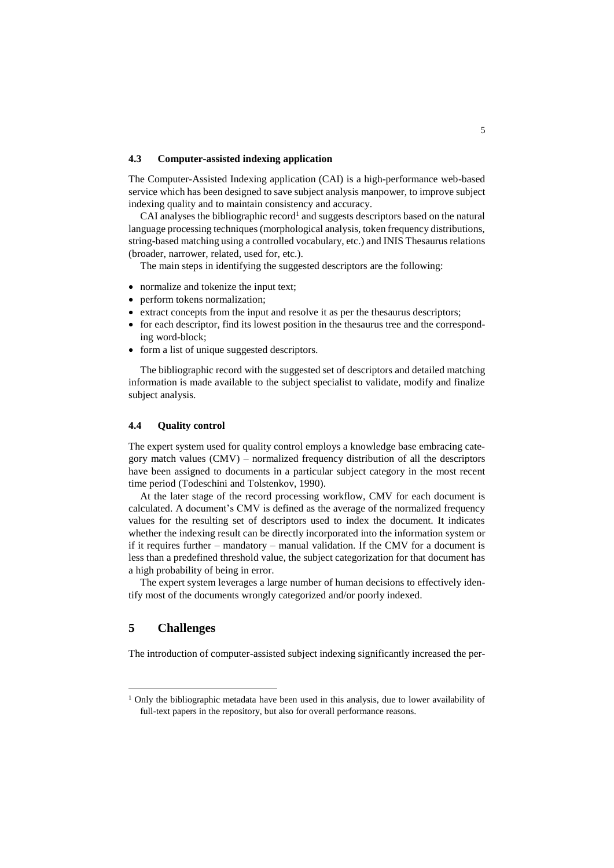#### **4.3 Computer-assisted indexing application**

The Computer-Assisted Indexing application (CAI) is a high-performance web-based service which has been designed to save subject analysis manpower, to improve subject indexing quality and to maintain consistency and accuracy.

CAI analyses the bibliographic record<sup>1</sup> and suggests descriptors based on the natural language processing techniques (morphological analysis, token frequency distributions, string-based matching using a controlled vocabulary, etc.) and INIS Thesaurus relations (broader, narrower, related, used for, etc.).

The main steps in identifying the suggested descriptors are the following:

- normalize and tokenize the input text;
- perform tokens normalization;
- extract concepts from the input and resolve it as per the thesaurus descriptors;
- for each descriptor, find its lowest position in the thesaurus tree and the corresponding word-block;
- form a list of unique suggested descriptors.

The bibliographic record with the suggested set of descriptors and detailed matching information is made available to the subject specialist to validate, modify and finalize subject analysis.

#### **4.4 Quality control**

The expert system used for quality control employs a knowledge base embracing category match values (CMV) – normalized frequency distribution of all the descriptors have been assigned to documents in a particular subject category in the most recent time period (Todeschini and Tolstenkov, 1990).

At the later stage of the record processing workflow, CMV for each document is calculated. A document's CMV is defined as the average of the normalized frequency values for the resulting set of descriptors used to index the document. It indicates whether the indexing result can be directly incorporated into the information system or if it requires further – mandatory – manual validation. If the CMV for a document is less than a predefined threshold value, the subject categorization for that document has a high probability of being in error.

The expert system leverages a large number of human decisions to effectively identify most of the documents wrongly categorized and/or poorly indexed.

### **5 Challenges**

 $\overline{a}$ 

The introduction of computer-assisted subject indexing significantly increased the per-

<sup>&</sup>lt;sup>1</sup> Only the bibliographic metadata have been used in this analysis, due to lower availability of full-text papers in the repository, but also for overall performance reasons.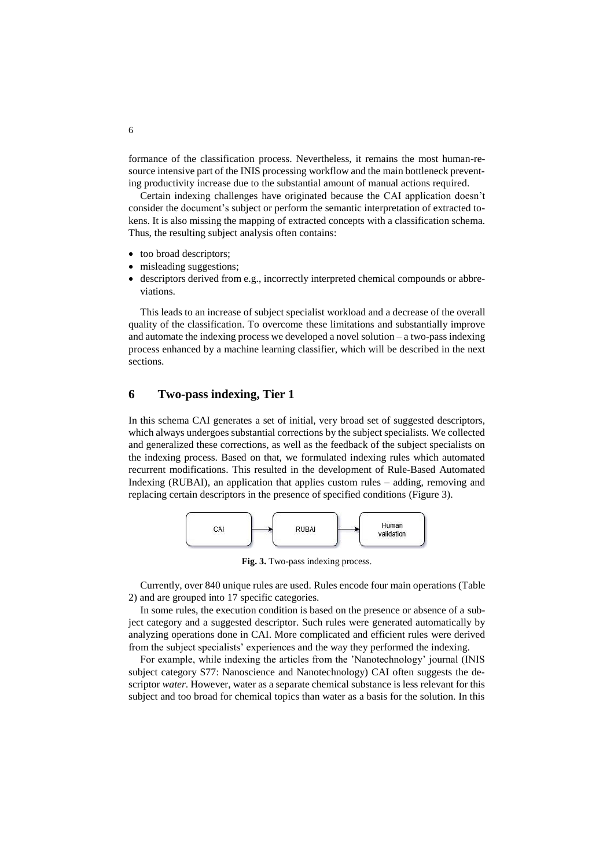formance of the classification process. Nevertheless, it remains the most human-resource intensive part of the INIS processing workflow and the main bottleneck preventing productivity increase due to the substantial amount of manual actions required.

Certain indexing challenges have originated because the CAI application doesn't consider the document's subject or perform the semantic interpretation of extracted tokens. It is also missing the mapping of extracted concepts with a classification schema. Thus, the resulting subject analysis often contains:

- too broad descriptors;
- misleading suggestions;
- descriptors derived from e.g., incorrectly interpreted chemical compounds or abbreviations.

This leads to an increase of subject specialist workload and a decrease of the overall quality of the classification. To overcome these limitations and substantially improve and automate the indexing process we developed a novel solution – a two-pass indexing process enhanced by a machine learning classifier, which will be described in the next sections.

### **6 Two-pass indexing, Tier 1**

In this schema CAI generates a set of initial, very broad set of suggested descriptors, which always undergoes substantial corrections by the subject specialists. We collected and generalized these corrections, as well as the feedback of the subject specialists on the indexing process. Based on that, we formulated indexing rules which automated recurrent modifications. This resulted in the development of Rule-Based Automated Indexing (RUBAI), an application that applies custom rules – adding, removing and replacing certain descriptors in the presence of specified conditions (Figure 3).



**Fig. 3.** Two-pass indexing process.

Currently, over 840 unique rules are used. Rules encode four main operations (Table 2) and are grouped into 17 specific categories.

In some rules, the execution condition is based on the presence or absence of a subject category and a suggested descriptor. Such rules were generated automatically by analyzing operations done in CAI. More complicated and efficient rules were derived from the subject specialists' experiences and the way they performed the indexing.

For example, while indexing the articles from the 'Nanotechnology' journal (INIS subject category S77: Nanoscience and Nanotechnology) CAI often suggests the descriptor *water*. However, water as a separate chemical substance is less relevant for this subject and too broad for chemical topics than water as a basis for the solution. In this

6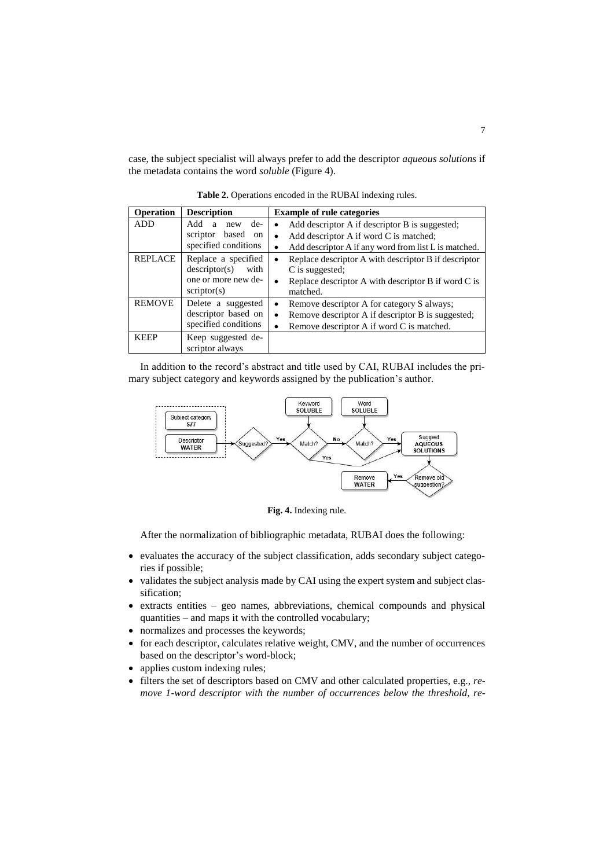case, the subject specialist will always prefer to add the descriptor *aqueous solutions* if the metadata contains the word *soluble* (Figure 4).

| <b>Operation</b> | <b>Description</b>      | <b>Example of rule categories</b>                    |
|------------------|-------------------------|------------------------------------------------------|
| <b>ADD</b>       | de-<br>Add<br>new<br>a  | Add descriptor A if descriptor B is suggested;       |
|                  | based<br>scriptor<br>on | Add descriptor A if word C is matched;               |
|                  | specified conditions    | Add descriptor A if any word from list L is matched. |
| <b>REPLACE</b>   | Replace a specified     | Replace descriptor A with descriptor B if descriptor |
|                  | descriptor(s)<br>with   | C is suggested;                                      |
|                  | one or more new de-     | Replace descriptor A with descriptor B if word C is  |
|                  | scriptor(s)             | matched.                                             |
| <b>REMOVE</b>    | Delete a suggested      | Remove descriptor A for category S always;           |
|                  | descriptor based on     | Remove descriptor A if descriptor B is suggested;    |
|                  | specified conditions    | Remove descriptor A if word C is matched.            |
| <b>KEEP</b>      | Keep suggested de-      |                                                      |
|                  | scriptor always         |                                                      |

**Table 2.** Operations encoded in the RUBAI indexing rules.

In addition to the record's abstract and title used by CAI, RUBAI includes the primary subject category and keywords assigned by the publication's author.



**Fig. 4.** Indexing rule.

After the normalization of bibliographic metadata, RUBAI does the following:

- evaluates the accuracy of the subject classification, adds secondary subject categories if possible;
- validates the subject analysis made by CAI using the expert system and subject classification;
- extracts entities geo names, abbreviations, chemical compounds and physical quantities – and maps it with the controlled vocabulary;
- normalizes and processes the keywords;
- for each descriptor, calculates relative weight, CMV, and the number of occurrences based on the descriptor's word-block;
- applies custom indexing rules;
- filters the set of descriptors based on CMV and other calculated properties, e.g., *remove 1-word descriptor with the number of occurrences below the threshold*, *re-*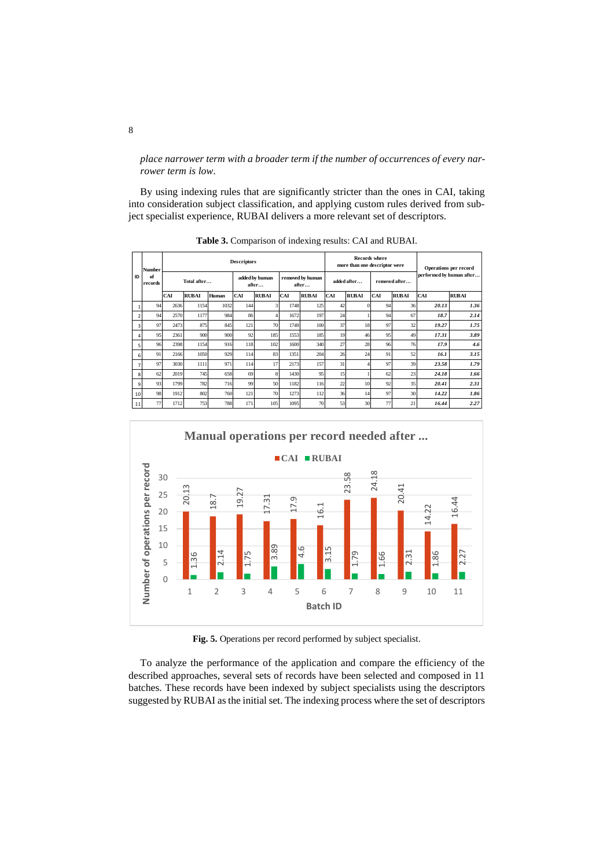*place narrower term with a broader term if the number of occurrences of every narrower term is low*.

By using indexing rules that are significantly stricter than the ones in CAI, taking into consideration subject classification, and applying custom rules derived from subject specialist experience, RUBAI delivers a more relevant set of descriptors.

|                | <b>Number</b><br>of<br>records | <b>Descriptors</b> |              |       |                         |              |                           |              |     | <b>Records</b> where<br>more than one descriptor were |     |                          |            | <b>Operations per record</b> |  |
|----------------|--------------------------------|--------------------|--------------|-------|-------------------------|--------------|---------------------------|--------------|-----|-------------------------------------------------------|-----|--------------------------|------------|------------------------------|--|
| ID             |                                | Total after        |              |       | added by human<br>after |              | removed by human<br>after | added after  |     | removed after                                         |     | performed by human after |            |                              |  |
|                |                                | CAI                | <b>RUBAI</b> | Human | <b>CAI</b>              | <b>RUBAI</b> | <b>CAI</b>                | <b>RUBAI</b> | CAI | <b>RUBAI</b>                                          | CAI | <b>RUBAI</b>             | <b>CAI</b> | <b>RUBAI</b>                 |  |
|                | 94                             | 2636               | 1154         | 1032  | 144                     |              | 1748                      | 125          | 42  | $\Omega$                                              | 94  | 36                       | 20.13      | 1.36                         |  |
| $\overline{2}$ | 94                             | 2570               | 1177         | 984   | 86                      |              | 1672                      | 197          | 24  |                                                       | 94  | 67                       | 18.7       | 2.14                         |  |
| 3              | 97                             | 2473               | 875          | 845   | 121                     | 70           | 1749                      | 100          | 37  | 18                                                    | 97  | 32                       | 19.27      | 1.75                         |  |
| 4              | 95                             | 2361               | 900          | 900   | 92                      | 185          | 1553                      | 185          | 19  | 46                                                    | 95  | 49                       | 17.31      | 3.89                         |  |
| 5              | 96                             | 2398               | 1154         | 916   | 118                     | 102          | 1600                      | 340          | 27  | 28                                                    | 96  | 76                       | 17.9       | 4.6                          |  |
| 6              | 91                             | 2166               | 1050         | 929   | 114                     | 83           | 1351                      | 204          | 26  | 24                                                    | 91  | 52                       | 16.1       | 3.15                         |  |
| 7              | 97                             | 3030               | 1111         | 971   | 114                     | 17           | 2173                      | 157          | 31  |                                                       | 97  | 39                       | 23.58      | 1.79                         |  |
| 8              | 62                             | 2019               | 745          | 658   | 69                      |              | 1430                      | 95           | 15  |                                                       | 62  | 23                       | 24.18      | 1.66                         |  |
| 9              | 93                             | 1799               | 782          | 716   | 99                      | 50           | 1182                      | 116          | 22  | 10                                                    | 92  | 35                       | 20.41      | 2.31                         |  |
| 10             | 98                             | 1912               | 802          | 760   | 121                     | 70           | 1273                      | 112          | 36  | 14                                                    | 97  | 30                       | 14.22      | 1.86                         |  |
| 11             | 77                             | 1712               | 753          | 788   | 171                     | 105          | 1095                      | 70           | 53  | 30                                                    | 77  | 21                       | 16.44      | 2.27                         |  |

**Table 3.** Comparison of indexing results: CAI and RUBAI.



**Fig. 5.** Operations per record performed by subject specialist.

To analyze the performance of the application and compare the efficiency of the described approaches, several sets of records have been selected and composed in 11 batches. These records have been indexed by subject specialists using the descriptors suggested by RUBAI as the initial set. The indexing process where the set of descriptors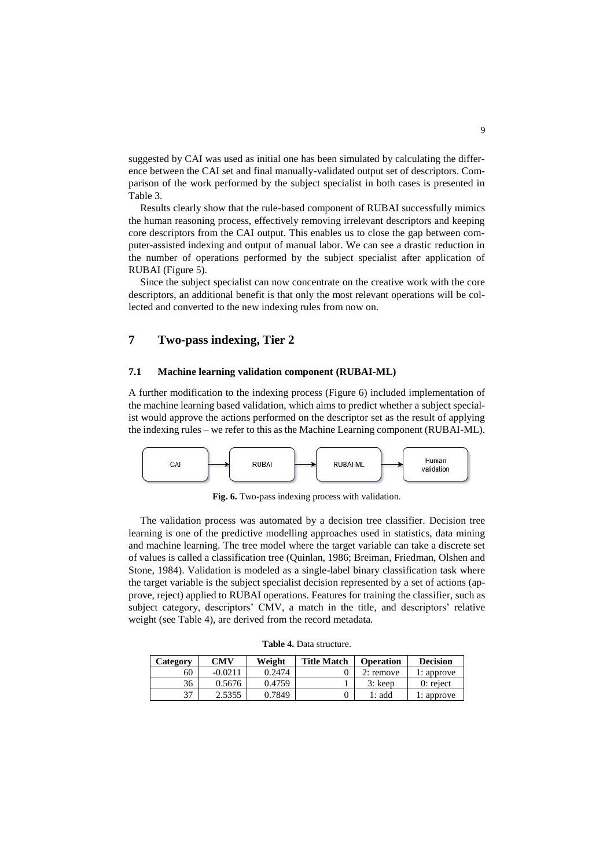suggested by CAI was used as initial one has been simulated by calculating the difference between the CAI set and final manually-validated output set of descriptors. Comparison of the work performed by the subject specialist in both cases is presented in Table 3.

Results clearly show that the rule-based component of RUBAI successfully mimics the human reasoning process, effectively removing irrelevant descriptors and keeping core descriptors from the CAI output. This enables us to close the gap between computer-assisted indexing and output of manual labor. We can see a drastic reduction in the number of operations performed by the subject specialist after application of RUBAI (Figure 5).

Since the subject specialist can now concentrate on the creative work with the core descriptors, an additional benefit is that only the most relevant operations will be collected and converted to the new indexing rules from now on.

# **7 Two-pass indexing, Tier 2**

#### **7.1 Machine learning validation component (RUBAI-ML)**

A further modification to the indexing process (Figure 6) included implementation of the machine learning based validation, which aims to predict whether a subject specialist would approve the actions performed on the descriptor set as the result of applying the indexing rules – we refer to this as the Machine Learning component (RUBAI-ML).



**Fig. 6.** Two-pass indexing process with validation.

The validation process was automated by a decision tree classifier. Decision tree learning is one of the predictive modelling approaches used in [statistics,](https://en.wikipedia.org/wiki/Statistics) [data mining](https://en.wikipedia.org/wiki/Data_mining) and [machine learning.](https://en.wikipedia.org/wiki/Machine_learning) The tree model where the target variable can take a discrete set of values is called a classification tree (Quinlan, 1986; Breiman, Friedman, Olshen and Stone, 1984). Validation is modeled as a single-label binary classification task where the target variable is the subject specialist decision represented by a set of actions (approve, reject) applied to RUBAI operations. Features for training the classifier, such as subject category, descriptors' CMV, a match in the title, and descriptors' relative weight (see Table 4), are derived from the record metadata.

|  |  | <b>Table 4.</b> Data structure. |
|--|--|---------------------------------|
|--|--|---------------------------------|

| Category | CMV       |        | <b>Title Match</b> | <b>Operation</b> | <b>Decision</b> |  |
|----------|-----------|--------|--------------------|------------------|-----------------|--|
| 60       | $-0.0211$ | 0.2474 |                    | 2: remove        | 1: approve      |  |
| 36       | 0.5676    | 0.4759 |                    | $3:$ keep        | $0:$ reject     |  |
| 37       | 2.5355    | 0.7849 |                    | 1: add           | 1: approve      |  |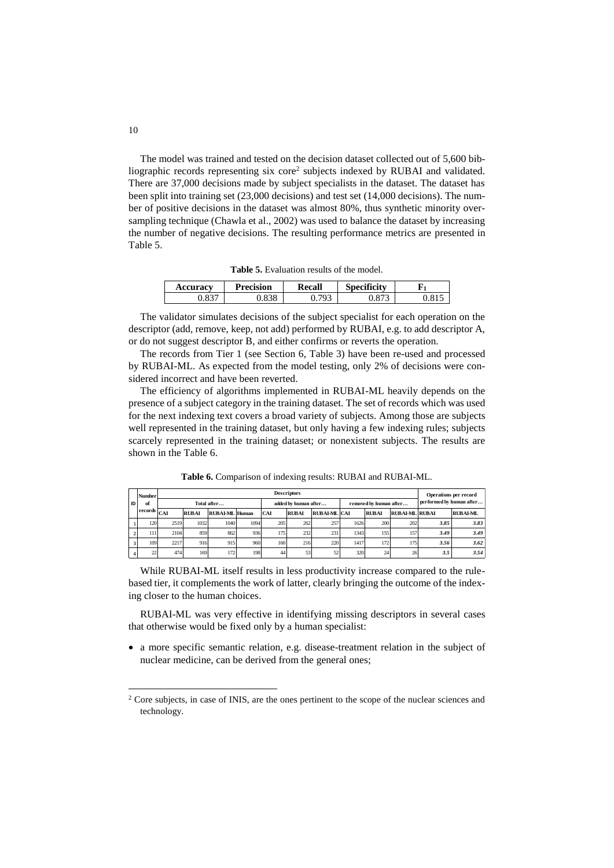The model was trained and tested on the decision dataset collected out of 5,600 bibliographic records representing six core<sup>2</sup> subjects indexed by RUBAI and validated. There are 37,000 decisions made by subject specialists in the dataset. The dataset has been split into training set (23,000 decisions) and test set (14,000 decisions). The number of positive decisions in the dataset was almost 80%, thus synthetic minority oversampling technique (Chawla et al., 2002) was used to balance the dataset by increasing the number of negative decisions. The resulting performance metrics are presented in Table 5.

**Table 5.** Evaluation results of the model.

| <b>Accuracv</b>       | Precision | Recall | ەم •<br>$\cdot$ .<br>Specificity |  |
|-----------------------|-----------|--------|----------------------------------|--|
| 027<br>$0.03^{\circ}$ |           | 703    | v.o /                            |  |

The validator simulates decisions of the subject specialist for each operation on the descriptor (add, remove, keep, not add) performed by RUBAI, e.g. to add descriptor A, or do not suggest descriptor B, and either confirms or reverts the operation.

The records from Tier 1 (see Section 6, Table 3) have been re-used and processed by RUBAI-ML. As expected from the model testing, only 2% of decisions were considered incorrect and have been reverted.

The efficiency of algorithms implemented in RUBAI-ML heavily depends on the presence of a subject category in the training dataset. The set of records which was used for the next indexing text covers a broad variety of subjects. Among those are subjects well represented in the training dataset, but only having a few indexing rules; subjects scarcely represented in the training dataset; or nonexistent subjects. The results are shown in the Table 6.

|    | <b>Number</b> | <b>Descriptors</b> |              |                       |      |                      |              |                    |                        |              |               | Operations per record    |         |
|----|---------------|--------------------|--------------|-----------------------|------|----------------------|--------------|--------------------|------------------------|--------------|---------------|--------------------------|---------|
| ID | of            | Total after        |              |                       |      | added by human after |              |                    | removed by human after |              |               | performed by human after |         |
|    | records       | CAI                | <b>RUBAL</b> | <b>RUBAI ML Human</b> |      | <b>CAI</b>           | <b>RUBAL</b> | <b>RUBALML</b> CAL |                        | <b>RUBAI</b> | RUBALML RUBAL |                          | RUBALML |
|    | 120           | 2519               | 1032         | 1040                  | 1094 | 205                  | 262          | 257                | 1626                   | 200          | 202           | 3.85                     | 3.83    |
|    | 111           | 2104               | 859          | 862                   | 936  | 175                  | 232          | 231                | 1343                   | 155          | 157           | 3.49                     | 3.49    |
|    | 109           | 2217               | 916          | 915                   | 960  | 160                  | 216          | 220                | 1417                   | 172          | 175           | 3.56                     | 3.62    |
|    | 22            | 474                | 169          | 172                   | 198  | 44                   | 53           | 52                 | 320                    | 24           | 26            | 3.5                      | 3.54    |

**Table 6.** Comparison of indexing results: RUBAI and RUBAI-ML.

While RUBAI-ML itself results in less productivity increase compared to the rulebased tier, it complements the work of latter, clearly bringing the outcome of the indexing closer to the human choices.

RUBAI-ML was very effective in identifying missing descriptors in several cases that otherwise would be fixed only by a human specialist:

• a more specific semantic relation, e.g. disease-treatment relation in the subject of nuclear medicine, can be derived from the general ones;

 $\overline{a}$ 

<sup>&</sup>lt;sup>2</sup> Core subjects, in case of INIS, are the ones pertinent to the scope of the nuclear sciences and technology.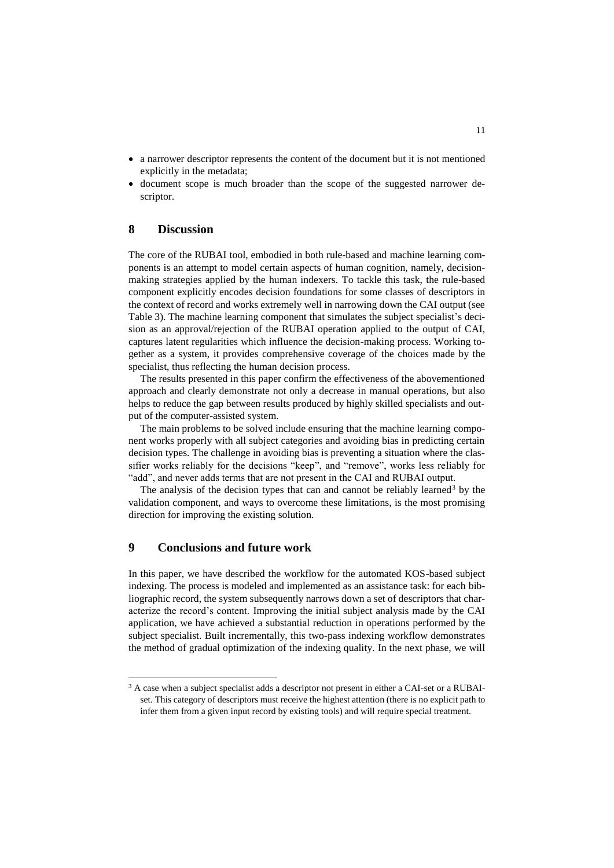- a narrower descriptor represents the content of the document but it is not mentioned explicitly in the metadata;
- document scope is much broader than the scope of the suggested narrower descriptor.

### **8 Discussion**

The core of the RUBAI tool, embodied in both rule-based and machine learning components is an attempt to model certain aspects of human cognition, namely, decisionmaking strategies applied by the human indexers. To tackle this task, the rule-based component explicitly encodes decision foundations for some classes of descriptors in the context of record and works extremely well in narrowing down the CAI output (see Table 3). The machine learning component that simulates the subject specialist's decision as an approval/rejection of the RUBAI operation applied to the output of CAI, captures latent regularities which influence the decision-making process. Working together as a system, it provides comprehensive coverage of the choices made by the specialist, thus reflecting the human decision process.

The results presented in this paper confirm the effectiveness of the abovementioned approach and clearly demonstrate not only a decrease in manual operations, but also helps to reduce the gap between results produced by highly skilled specialists and output of the computer-assisted system.

The main problems to be solved include ensuring that the machine learning component works properly with all subject categories and avoiding bias in predicting certain decision types. The challenge in avoiding bias is preventing a situation where the classifier works reliably for the decisions "keep", and "remove", works less reliably for "add", and never adds terms that are not present in the CAI and RUBAI output.

The analysis of the decision types that can and cannot be reliably learned<sup>3</sup> by the validation component, and ways to overcome these limitations, is the most promising direction for improving the existing solution.

# **9 Conclusions and future work**

 $\overline{a}$ 

In this paper, we have described the workflow for the automated KOS-based subject indexing. The process is modeled and implemented as an assistance task: for each bibliographic record, the system subsequently narrows down a set of descriptors that characterize the record's content. Improving the initial subject analysis made by the CAI application, we have achieved a substantial reduction in operations performed by the subject specialist. Built incrementally, this two-pass indexing workflow demonstrates the method of gradual optimization of the indexing quality. In the next phase, we will

<sup>&</sup>lt;sup>3</sup> A case when a subject specialist adds a descriptor not present in either a CAI-set or a RUBAIset. This category of descriptors must receive the highest attention (there is no explicit path to infer them from a given input record by existing tools) and will require special treatment.